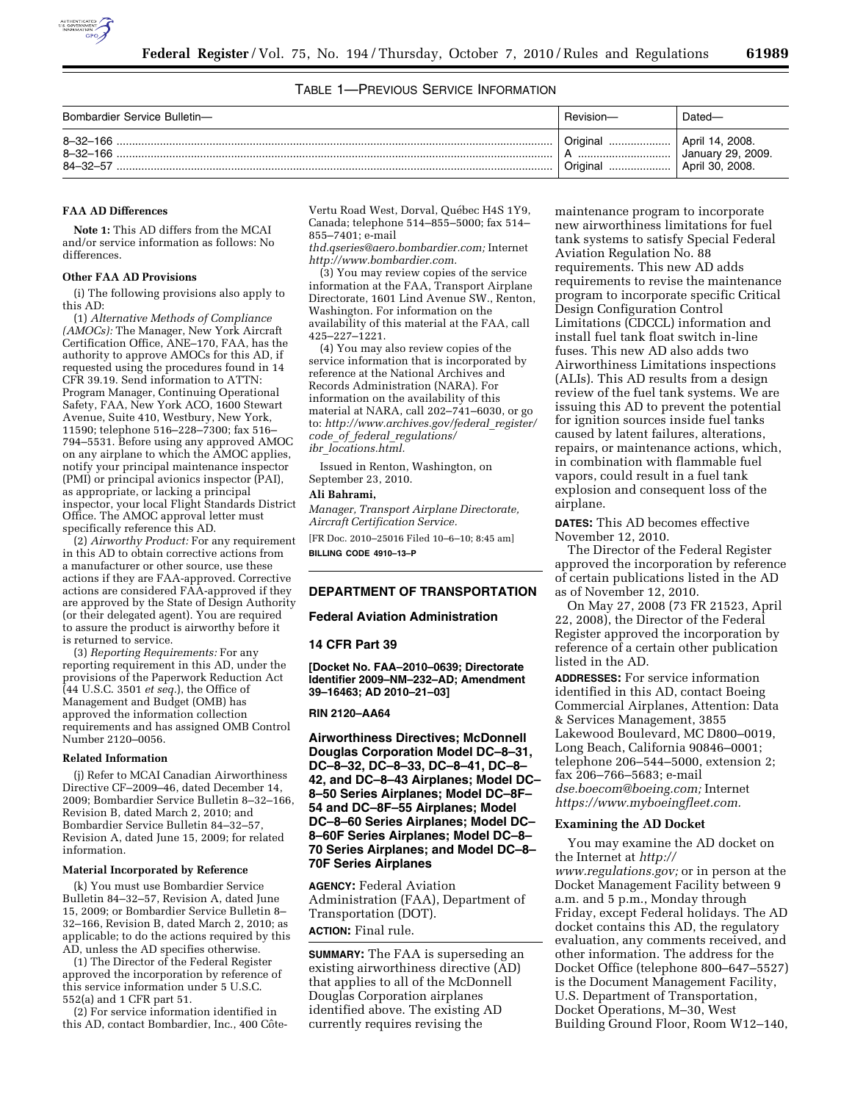

TABLE 1—PREVIOUS SERVICE INFORMATION

| Bombardier Service Bulletin-                       | ' Revision-          | ⊃ated—                                                  |
|----------------------------------------------------|----------------------|---------------------------------------------------------|
| $8 - 32 - 166$<br>$8 - 32 - 166$<br>$84 - 32 - 57$ | Original<br>Original | April 14, 2008.<br>January 29, 2009.<br>April 30, 2008. |

#### **FAA AD Differences**

**Note 1:** This AD differs from the MCAI and/or service information as follows: No differences.

#### **Other FAA AD Provisions**

(i) The following provisions also apply to this AD:

(1) *Alternative Methods of Compliance (AMOCs):* The Manager, New York Aircraft Certification Office, ANE–170, FAA, has the authority to approve AMOCs for this AD, if requested using the procedures found in 14 CFR 39.19. Send information to ATTN: Program Manager, Continuing Operational Safety, FAA, New York ACO, 1600 Stewart Avenue, Suite 410, Westbury, New York, 11590; telephone 516–228–7300; fax 516– 794–5531. Before using any approved AMOC on any airplane to which the AMOC applies, notify your principal maintenance inspector (PMI) or principal avionics inspector (PAI), as appropriate, or lacking a principal inspector, your local Flight Standards District Office. The AMOC approval letter must specifically reference this AD.

(2) *Airworthy Product:* For any requirement in this AD to obtain corrective actions from a manufacturer or other source, use these actions if they are FAA-approved. Corrective actions are considered FAA-approved if they are approved by the State of Design Authority (or their delegated agent). You are required to assure the product is airworthy before it is returned to service.

(3) *Reporting Requirements:* For any reporting requirement in this AD, under the provisions of the Paperwork Reduction Act (44 U.S.C. 3501 *et seq.*), the Office of Management and Budget (OMB) has approved the information collection requirements and has assigned OMB Control Number 2120–0056.

#### **Related Information**

(j) Refer to MCAI Canadian Airworthiness Directive CF–2009–46, dated December 14, 2009; Bombardier Service Bulletin 8–32–166, Revision B, dated March 2, 2010; and Bombardier Service Bulletin 84–32–57, Revision A, dated June 15, 2009; for related information.

### **Material Incorporated by Reference**

(k) You must use Bombardier Service Bulletin 84–32–57, Revision A, dated June 15, 2009; or Bombardier Service Bulletin 8– 32–166, Revision B, dated March 2, 2010; as applicable; to do the actions required by this AD, unless the AD specifies otherwise.

(1) The Director of the Federal Register approved the incorporation by reference of this service information under 5 U.S.C. 552(a) and 1 CFR part 51.

(2) For service information identified in this AD, contact Bombardier, Inc., 400 CôteVertu Road West, Dorval, Québec H4S 1Y9, Canada; telephone 514–855–5000; fax 514– 855–7401; e-mail

*[thd.qseries@aero.bombardier.com;](mailto:thd.qseries@aero.bombardier.com)* Internet *[http://www.bombardier.com.](http://www.bombardier.com)* 

(3) You may review copies of the service information at the FAA, Transport Airplane Directorate, 1601 Lind Avenue SW., Renton, Washington. For information on the availability of this material at the FAA, call 425–227–1221.

(4) You may also review copies of the service information that is incorporated by reference at the National Archives and Records Administration (NARA). For information on the availability of this material at NARA, call 202-741-6030, or go to: *[http://www.archives.gov/federal](http://www.archives.gov/federal_register/code_of_federal_regulations/ibr_locations.html)*\_*register/ code*\_*of*\_*federal*\_*[regulations/](http://www.archives.gov/federal_register/code_of_federal_regulations/ibr_locations.html) ibr*\_*[locations.html.](http://www.archives.gov/federal_register/code_of_federal_regulations/ibr_locations.html)* 

Issued in Renton, Washington, on September 23, 2010.

## **Ali Bahrami,**

*Manager, Transport Airplane Directorate, Aircraft Certification Service.* 

[FR Doc. 2010–25016 Filed 10–6–10; 8:45 am] **BILLING CODE 4910–13–P** 

## **DEPARTMENT OF TRANSPORTATION**

#### **Federal Aviation Administration**

#### **14 CFR Part 39**

**[Docket No. FAA–2010–0639; Directorate Identifier 2009–NM–232–AD; Amendment 39–16463; AD 2010–21–03]** 

#### **RIN 2120–AA64**

**Airworthiness Directives; McDonnell Douglas Corporation Model DC–8–31, DC–8–32, DC–8–33, DC–8–41, DC–8– 42, and DC–8–43 Airplanes; Model DC– 8–50 Series Airplanes; Model DC–8F– 54 and DC–8F–55 Airplanes; Model DC–8–60 Series Airplanes; Model DC– 8–60F Series Airplanes; Model DC–8– 70 Series Airplanes; and Model DC–8– 70F Series Airplanes** 

**AGENCY:** Federal Aviation Administration (FAA), Department of Transportation (DOT). **ACTION:** Final rule.

**SUMMARY:** The FAA is superseding an existing airworthiness directive (AD) that applies to all of the McDonnell Douglas Corporation airplanes identified above. The existing AD currently requires revising the

maintenance program to incorporate new airworthiness limitations for fuel tank systems to satisfy Special Federal Aviation Regulation No. 88 requirements. This new AD adds requirements to revise the maintenance program to incorporate specific Critical Design Configuration Control Limitations (CDCCL) information and install fuel tank float switch in-line fuses. This new AD also adds two Airworthiness Limitations inspections (ALIs). This AD results from a design review of the fuel tank systems. We are issuing this AD to prevent the potential for ignition sources inside fuel tanks caused by latent failures, alterations, repairs, or maintenance actions, which, in combination with flammable fuel vapors, could result in a fuel tank explosion and consequent loss of the airplane.

**DATES:** This AD becomes effective November 12, 2010.

The Director of the Federal Register approved the incorporation by reference of certain publications listed in the AD as of November 12, 2010.

On May 27, 2008 (73 FR 21523, April 22, 2008), the Director of the Federal Register approved the incorporation by reference of a certain other publication listed in the AD.

**ADDRESSES:** For service information identified in this AD, contact Boeing Commercial Airplanes, Attention: Data & Services Management, 3855 Lakewood Boulevard, MC D800–0019, Long Beach, California 90846–0001; telephone 206–544–5000, extension 2; fax 206–766–5683; e-mail *[dse.boecom@boeing.com;](mailto:dse.boecom@boeing.com)* Internet *[https://www.myboeingfleet.com.](https://www.myboeingfleet.com)* 

## **Examining the AD Docket**

You may examine the AD docket on the Internet at *[http://](http://www.regulations.gov)  [www.regulations.gov;](http://www.regulations.gov)* or in person at the Docket Management Facility between 9 a.m. and 5 p.m., Monday through Friday, except Federal holidays. The AD docket contains this AD, the regulatory evaluation, any comments received, and other information. The address for the Docket Office (telephone 800–647–5527) is the Document Management Facility, U.S. Department of Transportation, Docket Operations, M–30, West Building Ground Floor, Room W12–140,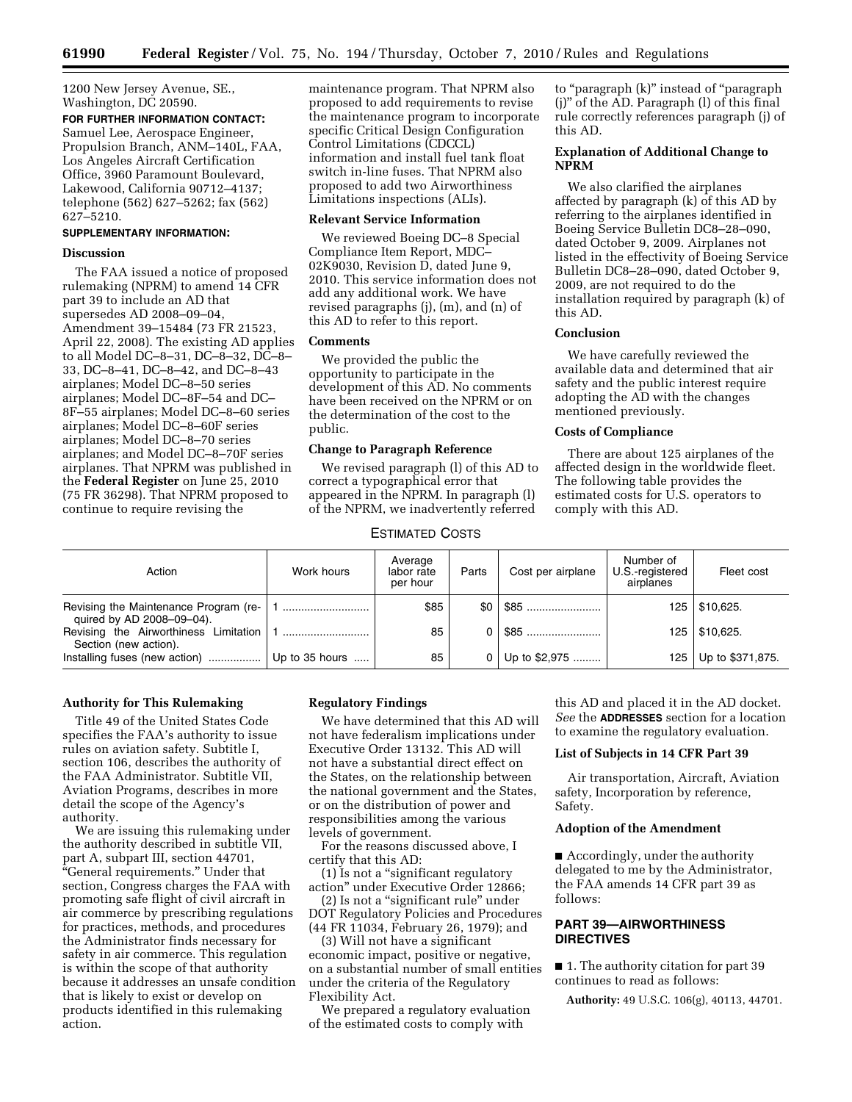1200 New Jersey Avenue, SE., Washington, DC 20590.

# **FOR FURTHER INFORMATION CONTACT:**

Samuel Lee, Aerospace Engineer, Propulsion Branch, ANM–140L, FAA, Los Angeles Aircraft Certification Office, 3960 Paramount Boulevard, Lakewood, California 90712–4137; telephone (562) 627–5262; fax (562) 627–5210.

## **SUPPLEMENTARY INFORMATION:**

## **Discussion**

The FAA issued a notice of proposed rulemaking (NPRM) to amend 14 CFR part 39 to include an AD that supersedes AD 2008–09–04, Amendment 39–15484 (73 FR 21523, April 22, 2008). The existing AD applies to all Model DC–8–31, DC–8–32, DC–8– 33, DC–8–41, DC–8–42, and DC–8–43 airplanes; Model DC–8–50 series airplanes; Model DC–8F–54 and DC– 8F–55 airplanes; Model DC–8–60 series airplanes; Model DC–8–60F series airplanes; Model DC–8–70 series airplanes; and Model DC–8–70F series airplanes. That NPRM was published in the **Federal Register** on June 25, 2010 (75 FR 36298). That NPRM proposed to continue to require revising the

maintenance program. That NPRM also proposed to add requirements to revise the maintenance program to incorporate specific Critical Design Configuration Control Limitations (CDCCL) information and install fuel tank float switch in-line fuses. That NPRM also proposed to add two Airworthiness Limitations inspections (ALIs).

## **Relevant Service Information**

We reviewed Boeing DC–8 Special Compliance Item Report, MDC– 02K9030, Revision D, dated June 9, 2010. This service information does not add any additional work. We have revised paragraphs (j), (m), and (n) of this AD to refer to this report.

## **Comments**

We provided the public the opportunity to participate in the development of this AD. No comments have been received on the NPRM or on the determination of the cost to the public.

### **Change to Paragraph Reference**

We revised paragraph (l) of this AD to correct a typographical error that appeared in the NPRM. In paragraph (l) of the NPRM, we inadvertently referred

to ''paragraph (k)'' instead of ''paragraph (j)'' of the AD. Paragraph (l) of this final rule correctly references paragraph (j) of this AD.

## **Explanation of Additional Change to NPRM**

We also clarified the airplanes affected by paragraph (k) of this AD by referring to the airplanes identified in Boeing Service Bulletin DC8–28–090, dated October 9, 2009. Airplanes not listed in the effectivity of Boeing Service Bulletin DC8–28–090, dated October 9, 2009, are not required to do the installation required by paragraph (k) of this AD.

#### **Conclusion**

We have carefully reviewed the available data and determined that air safety and the public interest require adopting the AD with the changes mentioned previously.

#### **Costs of Compliance**

There are about 125 airplanes of the affected design in the worldwide fleet. The following table provides the estimated costs for U.S. operators to comply with this AD.

## ESTIMATED COSTS

| Action                                                             | Work hours       | Average<br>labor rate<br>per hour | Parts            | Cost per airplane | Number of<br>U.S.-registered<br>airplanes | Fleet cost        |
|--------------------------------------------------------------------|------------------|-----------------------------------|------------------|-------------------|-------------------------------------------|-------------------|
| Revising the Maintenance Program (re-<br>quired by AD 2008-09-04). |                  | \$85                              | \$0 <sub>1</sub> | $\$85$            |                                           | 125   \$10,625.   |
| Revising the Airworthiness Limitation<br>Section (new action).     |                  | 85                                |                  | $$85$             |                                           | $125$   \$10,625. |
| Installing fuses (new action)                                      | Up to $35$ hours | 85                                | 0 <sup>1</sup>   | Up to \$2,975     | 125                                       | Up to \$371,875.  |

## **Authority for This Rulemaking**

Title 49 of the United States Code specifies the FAA's authority to issue rules on aviation safety. Subtitle I, section 106, describes the authority of the FAA Administrator. Subtitle VII, Aviation Programs, describes in more detail the scope of the Agency's authority.

We are issuing this rulemaking under the authority described in subtitle VII, part A, subpart III, section 44701, ''General requirements.'' Under that section, Congress charges the FAA with promoting safe flight of civil aircraft in air commerce by prescribing regulations for practices, methods, and procedures the Administrator finds necessary for safety in air commerce. This regulation is within the scope of that authority because it addresses an unsafe condition that is likely to exist or develop on products identified in this rulemaking action.

## **Regulatory Findings**

We have determined that this AD will not have federalism implications under Executive Order 13132. This AD will not have a substantial direct effect on the States, on the relationship between the national government and the States, or on the distribution of power and responsibilities among the various levels of government.

For the reasons discussed above, I certify that this AD:

(1) Is not a ''significant regulatory action'' under Executive Order 12866;

(2) Is not a ''significant rule'' under DOT Regulatory Policies and Procedures (44 FR 11034, February 26, 1979); and

(3) Will not have a significant economic impact, positive or negative, on a substantial number of small entities under the criteria of the Regulatory Flexibility Act.

We prepared a regulatory evaluation of the estimated costs to comply with

this AD and placed it in the AD docket. *See* the **ADDRESSES** section for a location to examine the regulatory evaluation.

#### **List of Subjects in 14 CFR Part 39**

Air transportation, Aircraft, Aviation safety, Incorporation by reference, Safety.

#### **Adoption of the Amendment**

■ Accordingly, under the authority delegated to me by the Administrator, the FAA amends 14 CFR part 39 as follows:

## **PART 39—AIRWORTHINESS DIRECTIVES**

■ 1. The authority citation for part 39 continues to read as follows:

**Authority:** 49 U.S.C. 106(g), 40113, 44701.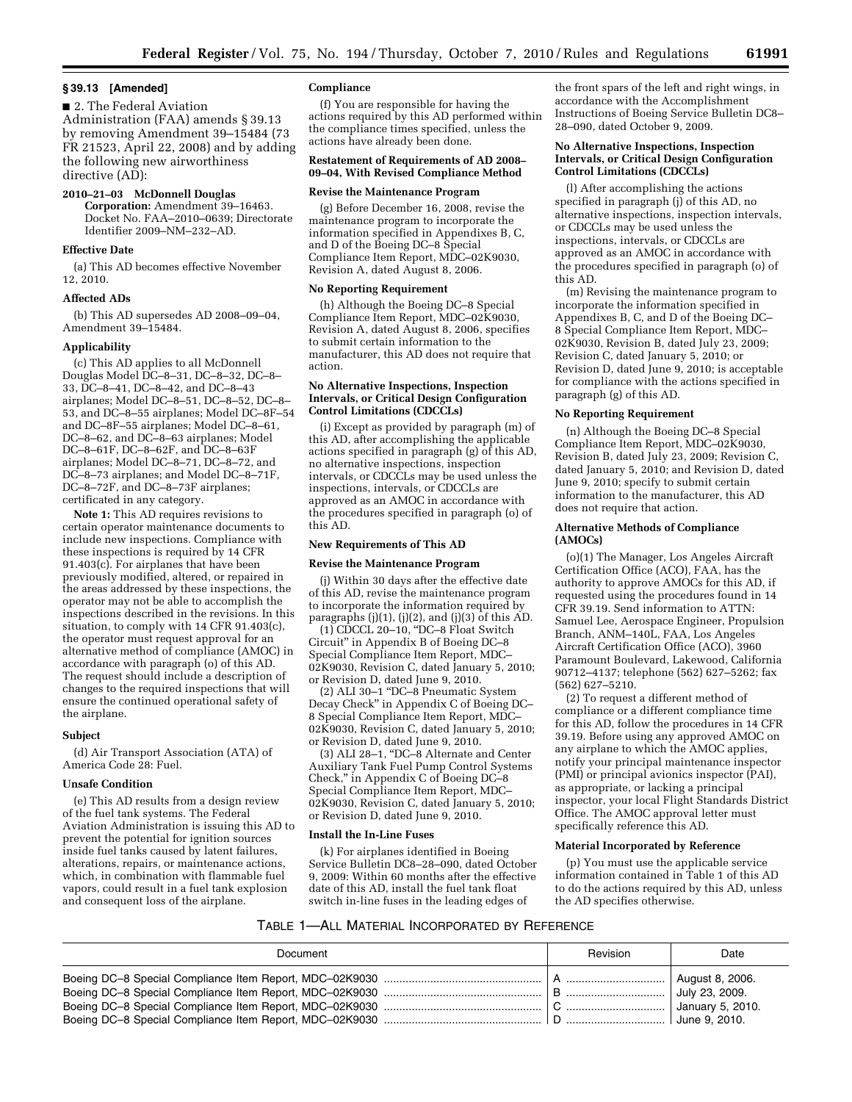#### **§ 39.13 [Amended]**

■ 2. The Federal Aviation Administration (FAA) amends § 39.13 by removing Amendment 39–15484 (73 FR 21523, April 22, 2008) and by adding the following new airworthiness directive (AD):

#### **2010–21–03 McDonnell Douglas**

**Corporation:** Amendment 39–16463. Docket No. FAA–2010–0639; Directorate Identifier 2009–NM–232–AD.

## **Effective Date**

(a) This AD becomes effective November 12, 2010.

#### **Affected ADs**

(b) This AD supersedes AD 2008–09–04, Amendment 39–15484.

#### **Applicability**

(c) This AD applies to all McDonnell Douglas Model DC–8–31, DC–8–32, DC–8– 33, DC–8–41, DC–8–42, and DC–8–43 airplanes; Model DC–8–51, DC–8–52, DC–8– 53, and DC–8–55 airplanes; Model DC–8F–54 and DC–8F–55 airplanes; Model DC–8–61, DC–8–62, and DC–8–63 airplanes; Model DC–8–61F, DC–8–62F, and DC–8–63F airplanes; Model DC–8–71, DC–8–72, and DC–8–73 airplanes; and Model DC–8–71F, DC–8–72F, and DC–8–73F airplanes; certificated in any category.

**Note 1:** This AD requires revisions to certain operator maintenance documents to include new inspections. Compliance with these inspections is required by 14 CFR 91.403(c). For airplanes that have been previously modified, altered, or repaired in the areas addressed by these inspections, the operator may not be able to accomplish the inspections described in the revisions. In this situation, to comply with 14 CFR 91.403(c), the operator must request approval for an alternative method of compliance (AMOC) in accordance with paragraph (o) of this AD. The request should include a description of changes to the required inspections that will ensure the continued operational safety of the airplane.

#### **Subject**

(d) Air Transport Association (ATA) of America Code 28: Fuel.

#### **Unsafe Condition**

(e) This AD results from a design review of the fuel tank systems. The Federal Aviation Administration is issuing this AD to prevent the potential for ignition sources inside fuel tanks caused by latent failures, alterations, repairs, or maintenance actions, which, in combination with flammable fuel vapors, could result in a fuel tank explosion and consequent loss of the airplane.

#### **Compliance**

(f) You are responsible for having the actions required by this AD performed within the compliance times specified, unless the actions have already been done.

#### **Restatement of Requirements of AD 2008– 09–04, With Revised Compliance Method**

#### **Revise the Maintenance Program**

(g) Before December 16, 2008, revise the maintenance program to incorporate the information specified in Appendixes B, C, and D of the Boeing DC–8 Special Compliance Item Report, MDC–02K9030, Revision A, dated August 8, 2006.

#### **No Reporting Requirement**

(h) Although the Boeing DC–8 Special Compliance Item Report, MDC–02K9030, Revision A, dated August 8, 2006, specifies to submit certain information to the manufacturer, this AD does not require that action.

#### **No Alternative Inspections, Inspection Intervals, or Critical Design Configuration Control Limitations (CDCCLs)**

(i) Except as provided by paragraph (m) of this AD, after accomplishing the applicable actions specified in paragraph  $(g)$  of this AD, no alternative inspections, inspection intervals, or CDCCLs may be used unless the inspections, intervals, or CDCCLs are approved as an AMOC in accordance with the procedures specified in paragraph (o) of this AD.

#### **New Requirements of This AD**

#### **Revise the Maintenance Program**

(j) Within 30 days after the effective date of this AD, revise the maintenance program to incorporate the information required by paragraphs (j)(1), (j)(2), and (j)(3) of this AD.

(1) CDCCL 20–10, ''DC–8 Float Switch Circuit'' in Appendix B of Boeing DC–8 Special Compliance Item Report, MDC– 02K9030, Revision C, dated January 5, 2010; or Revision D, dated June 9, 2010.

(2) ALI 30–1 ''DC–8 Pneumatic System Decay Check'' in Appendix C of Boeing DC– 8 Special Compliance Item Report, MDC– 02K9030, Revision C, dated January 5, 2010; or Revision D, dated June 9, 2010.

(3) ALI 28–1, ''DC–8 Alternate and Center Auxiliary Tank Fuel Pump Control Systems Check,'' in Appendix C of Boeing DC–8 Special Compliance Item Report, MDC– 02K9030, Revision C, dated January 5, 2010; or Revision D, dated June 9, 2010.

#### **Install the In-Line Fuses**

(k) For airplanes identified in Boeing Service Bulletin DC8–28–090, dated October 9, 2009: Within 60 months after the effective date of this AD, install the fuel tank float switch in-line fuses in the leading edges of

the front spars of the left and right wings, in accordance with the Accomplishment Instructions of Boeing Service Bulletin DC8– 28–090, dated October 9, 2009.

#### **No Alternative Inspections, Inspection Intervals, or Critical Design Configuration Control Limitations (CDCCLs)**

(l) After accomplishing the actions specified in paragraph (j) of this AD, no alternative inspections, inspection intervals, or CDCCLs may be used unless the inspections, intervals, or CDCCLs are approved as an AMOC in accordance with the procedures specified in paragraph (o) of this AD.

(m) Revising the maintenance program to incorporate the information specified in Appendixes B, C, and D of the Boeing DC– 8 Special Compliance Item Report, MDC– 02K9030, Revision B, dated July 23, 2009; Revision C, dated January 5, 2010; or Revision D, dated June 9, 2010; is acceptable for compliance with the actions specified in paragraph (g) of this AD.

#### **No Reporting Requirement**

(n) Although the Boeing DC–8 Special Compliance Item Report, MDC–02K9030, Revision B, dated July 23, 2009; Revision C, dated January 5, 2010; and Revision D, dated June 9, 2010; specify to submit certain information to the manufacturer, this AD does not require that action.

#### **Alternative Methods of Compliance (AMOCs)**

(o)(1) The Manager, Los Angeles Aircraft Certification Office (ACO), FAA, has the authority to approve AMOCs for this AD, if requested using the procedures found in 14 CFR 39.19. Send information to ATTN: Samuel Lee, Aerospace Engineer, Propulsion Branch, ANM–140L, FAA, Los Angeles Aircraft Certification Office (ACO), 3960 Paramount Boulevard, Lakewood, California 90712–4137; telephone (562) 627–5262; fax (562) 627–5210.

(2) To request a different method of compliance or a different compliance time for this AD, follow the procedures in 14 CFR 39.19. Before using any approved AMOC on any airplane to which the AMOC applies, notify your principal maintenance inspector (PMI) or principal avionics inspector (PAI), as appropriate, or lacking a principal inspector, your local Flight Standards District Office. The AMOC approval letter must specifically reference this AD.

## **Material Incorporated by Reference**

(p) You must use the applicable service information contained in Table 1 of this AD to do the actions required by this AD, unless the AD specifies otherwise.

#### TABLE 1—ALL MATERIAL INCORPORATED BY REFERENCE

| Document | Revision | Date                                                                   |
|----------|----------|------------------------------------------------------------------------|
|          |          | August 8, 2006.<br>July 23, 2009.<br>January 5, 2010.<br>June 9, 2010. |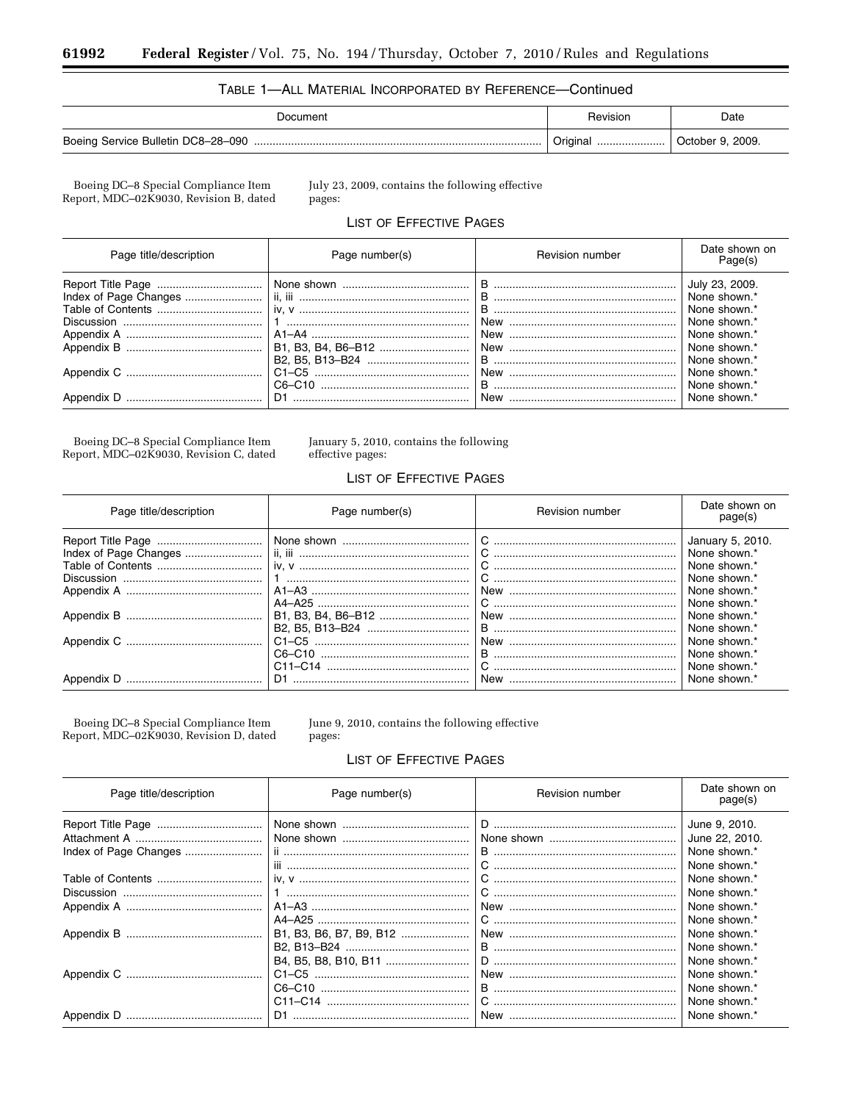## TABLE 1-ALL MATERIAL INCORPORATED BY REFERENCE-Continued

| Document                           | Revision      | Date                |
|------------------------------------|---------------|---------------------|
| Boeing Service Bulletin DC8-28-090 | Original<br>. | 2009.<br>October 9. |

 $\begin{array}{c} \text{Boeing DC--8 Special Compliance Item}\\ \text{Report, MDC--02K9030, Revision B, dated} \end{array}$ 

July 23, 2009, contains the following effective pages:

## LIST OF EFFECTIVE PAGES

| Page title/description | Page number(s)     | <b>Revision number</b>                                                                                                                                                                                                                                                                                                                     | Date shown on<br>Page(s)                                                                                                                                       |
|------------------------|--------------------|--------------------------------------------------------------------------------------------------------------------------------------------------------------------------------------------------------------------------------------------------------------------------------------------------------------------------------------------|----------------------------------------------------------------------------------------------------------------------------------------------------------------|
|                        | B1, B3, B4, B6-B12 | C6–C10 $\ldots$ $\ldots$ $\ldots$ $\ldots$ $\ldots$ $\ldots$ $\ldots$ $\ldots$ $\ldots$ $\ldots$ $\ldots$ $\ldots$ $\ldots$ $\ldots$ $\ldots$ $\ldots$ $\ldots$ $\ldots$ $\ldots$ $\ldots$ $\ldots$ $\ldots$ $\ldots$ $\ldots$ $\ldots$ $\ldots$ $\ldots$ $\ldots$ $\ldots$ $\ldots$ $\ldots$ $\ldots$ $\ldots$ $\ldots$ $\ldots$ $\ldots$ | July 23, 2009.<br>None shown.*<br>None shown.*<br>None shown.*<br>None shown.*<br>None shown.*<br>None shown.*<br>None shown.*<br>None shown.*<br>None shown.* |

Boeing DC–8 Special Compliance Item<br>Report, MDC–02K9030, Revision C, dated

January 5, 2010, contains the following effective pages:

## **LIST OF EFFECTIVE PAGES**

| Page title/description | Page number(s) | <b>Revision number</b> | Date shown on<br>page(s)                                                                                                         |
|------------------------|----------------|------------------------|----------------------------------------------------------------------------------------------------------------------------------|
|                        |                |                        | January 5, 2010.<br>None shown.*<br>None shown.*<br>None shown.*<br>None shown.*<br>None shown.*<br>None shown.*<br>None shown.* |
| Appendix D             |                | <b>New</b>             | None shown.*<br>None shown.*<br>None shown.*<br>None shown.*                                                                     |

Boeing DC–8 Special Compliance Item<br>Report, MDC–02K9030, Revision D, dated

June 9, 2010, contains the following effective pages:

## **LIST OF EFFECTIVE PAGES**

| Page title/description | Page number(s)          | Revision number | Date shown on<br>page(s)                        |
|------------------------|-------------------------|-----------------|-------------------------------------------------|
|                        |                         |                 | June 9, 2010.<br>June 22, 2010.<br>None shown.* |
|                        |                         |                 | None shown.*                                    |
|                        |                         |                 | None shown.*<br>None shown.*                    |
|                        |                         |                 | None shown.*                                    |
|                        | B1, B3, B6, B7, B9, B12 |                 | None shown.*<br>None shown.*                    |
|                        |                         |                 | None shown.*                                    |
|                        |                         |                 | None shown.*<br>None shown.*                    |
|                        |                         |                 | None shown.*<br>None shown.*                    |
| Appendix D             |                         |                 | None shown.*                                    |